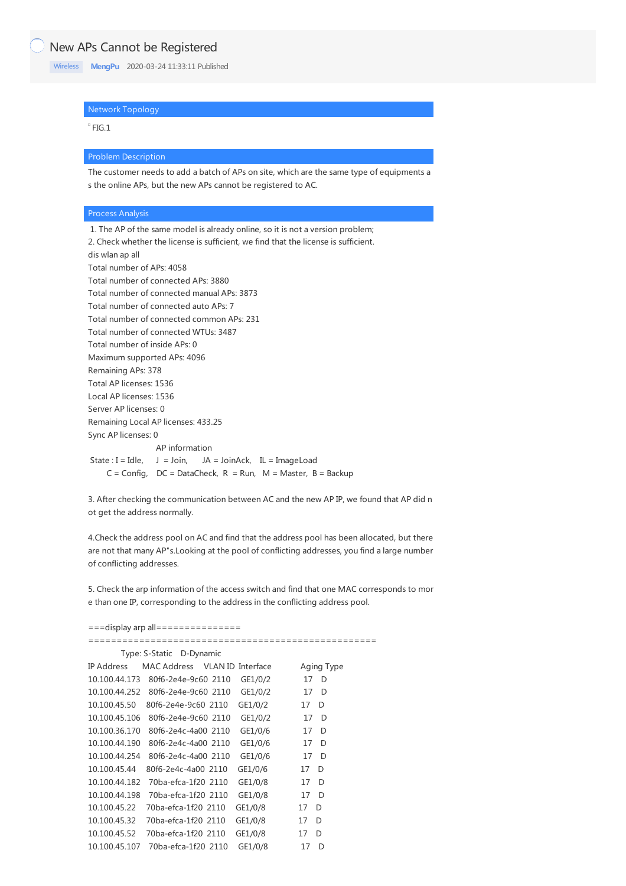# New APs Cannot be Registered

[Wireless](https://knowledge.h3c.com/questions/catesDis/1534) **[MengPu](https://knowledge.h3c.com/user/other/22)** 2020-03-24 11:33:11 Published

## Network Topology

 $E = FIG.1$ 

### Problem Description

The customer needs to add a batch of APs on site, which are the same type of equipments a s the online APs, but the new APs cannot be registered to AC.

#### Process Analysis

1. The AP of the same model is already online, so it is not a version problem; 2. Check whether the license is sufficient, we find that the license is sufficient. dis wlan ap all Total number of APs: 4058 Total number of connected APs: 3880 Total number of connected manual APs: 3873 Total number of connected auto APs: 7 Total number of connected common APs: 231 Total number of connected WTUs: 3487 Total number of inside APs: 0 Maximum supported APs: 4096 Remaining APs: 378 Total AP licenses: 1536 Local AP licenses: 1536 Server AP licenses: 0 Remaining Local AP licenses: 433.25 Sync AP licenses: 0 AP information State :  $I = Idle$ ,  $J = Join$ ,  $JA = JoinAck$ ,  $IL = ImageLoad$  $C = Config$ ,  $DC = DataCheck$ ,  $R = Run$ ,  $M = Master$ ,  $B = Backup$ 

3. After checking the communication between AC and the new AP IP, we found that AP did n ot get the address normally.

4.Check the address pool on AC and find that the address pool has been allocated, but there are not that many AP"s.Looking at the pool of conflicting addresses, you find a large number of conflicting addresses.

5. Check the arp information of the access switch and find that one MAC corresponds to mor e than one IP, corresponding to the address in the conflicting address pool.

| $==$ display arp all=============== |                               |  |         |    |            |  |
|-------------------------------------|-------------------------------|--|---------|----|------------|--|
|                                     |                               |  |         |    |            |  |
| Type: S-Static D-Dynamic            |                               |  |         |    |            |  |
| IP Address                          | MAC Address VLAN ID Interface |  |         |    | Aging Type |  |
| 10.100.44.173                       | 80f6-2e4e-9c60 2110           |  | GE1/0/2 | 17 | D          |  |
| 10.100.44.252                       | 80f6-2e4e-9c60 2110           |  | GE1/0/2 | 17 | D          |  |
| 10.100.45.50                        | 80f6-2e4e-9c60 2110           |  | GE1/0/2 | 17 | D          |  |
| 10.100.45.106                       | 80f6-2e4e-9c60 2110           |  | GE1/0/2 | 17 | D          |  |
| 10.100.36.170                       | 80f6-2e4c-4a00 2110           |  | GE1/0/6 | 17 | D          |  |
| 10.100.44.190                       | 80f6-2e4c-4a00 2110           |  | GE1/0/6 | 17 | D          |  |
| 10.100.44.254                       | 80f6-2e4c-4a00 2110           |  | GE1/0/6 | 17 | D          |  |
| 10.100.45.44                        | 80f6-2e4c-4a00 2110           |  | GE1/0/6 | 17 | D          |  |
| 10.100.44.182                       | 70ba-efca-1f20 2110           |  | GE1/0/8 | 17 | D          |  |
| 10.100.44.198                       | 70ba-efca-1f20 2110           |  | GE1/0/8 | 17 | D          |  |
| 10.100.45.22                        | 70ba-efca-1f20 2110           |  | GE1/0/8 | 17 | D          |  |
| 10.100.45.32                        | 70ba-efca-1f20 2110           |  | GE1/0/8 | 17 | D          |  |
| 10.100.45.52                        | 70ba-efca-1f20 2110           |  | GE1/0/8 | 17 | D          |  |
| 10.100.45.107                       | 70ba-efca-1f20 2110           |  | GE1/0/8 | 17 | D          |  |